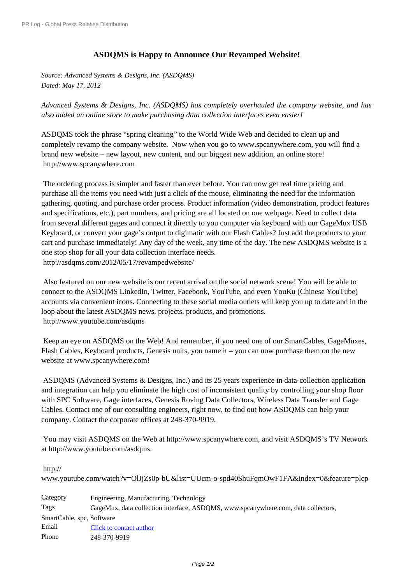## **[ASDQMS](http://www.prlog.org/) is Happy to Announce Our Revamped Website!**

*Source: Advanced Systems & Designs, Inc. (ASDQMS) Dated: May 17, 2012*

*Advanced Systems & Designs, Inc. (ASDQMS) has completely overhauled the company website, and has also added an online store to make purchasing data collection interfaces even easier!*

ASDQMS took the phrase "spring cleaning" to the World Wide Web and decided to clean up and completely revamp the company website. Now when you go to www.spcanywhere.com, you will find a brand new website – new layout, new content, and our biggest new addition, an online store! http://www.spcanywhere.com

 The ordering process is simpler and faster than ever before. You can now get real time pricing and [purchase all the items you need](http://www.prlog.org/11878071.html) with just a click of the mouse, eliminating the need for the information gathering, quoting, and purchase order process. Product information (video demonstration, product features and specifications, etc.), part numbers, and pricing are all located on one webpage. Need to collect data from several different gages and connect it directly to you computer via keyboard with our GageMux USB Keyboard, or convert your gage's output to digimatic with our Flash Cables? Just add the products to your cart and purchase immediately! Any day of the week, any time of the day. The new ASDQMS website is a one stop shop for all your data collection interface needs. http://asdqms.com/2012/05/17/revampedwebsite/

 Also featured on our new website is our recent arrival on the social network scene! You will be able to connect to the ASDQMS LinkedIn, Twitter, Facebook, YouTube, and even YouKu (Chinese YouTube) [accounts via convenient icons. Connecting to these](http://www.prlog.org/11878071.html) social media outlets will keep you up to date and in the loop about the latest ASDQMS news, projects, products, and promotions. http://www.youtube.com/asdqms

 Keep an eye on ASDQMS on the Web! And remember, if you need one of our SmartCables, GageMuxes, Flash Cables, Keyboard products, Genesis units, you name it – you can now purchase them on the new [website at www.spcanywhere.com](http://www.prlog.org/11878071.html)!

 ASDQMS (Advanced Systems & Designs, Inc.) and its 25 years experience in data-collection application and integration can help you eliminate the high cost of inconsistent quality by controlling your shop floor with SPC Software, Gage interfaces, Genesis Roving Data Collectors, Wireless Data Transfer and Gage Cables. Contact one of our consulting engineers, right now, to find out how ASDQMS can help your company. Contact the corporate offices at 248-370-9919.

 You may visit ASDQMS on the Web at http://www.spcanywhere.com, and visit ASDQMS's TV Network at http://www.youtube.com/asdqms.

http://

w[ww.youtube.com/watch?v=OlJjZs](http://www.prlog.org/11878071.html)0p-b[U&list=UUcm-o-spd40ShuFqm](http://www.prlog.org/11878071.html)OwF1FA&index=0&feature=plcp

Category Engineering, Manufacturing, Technology [Tags](http://www.prlog.org/11878071.html) [GageMux, data collection interface, ASDQMS, www.spcanywhere.com, data collectors,](http://www.prlog.org/11878071.html) SmartCable, spc, Software Email Click to contact author Phone 248-370-9919